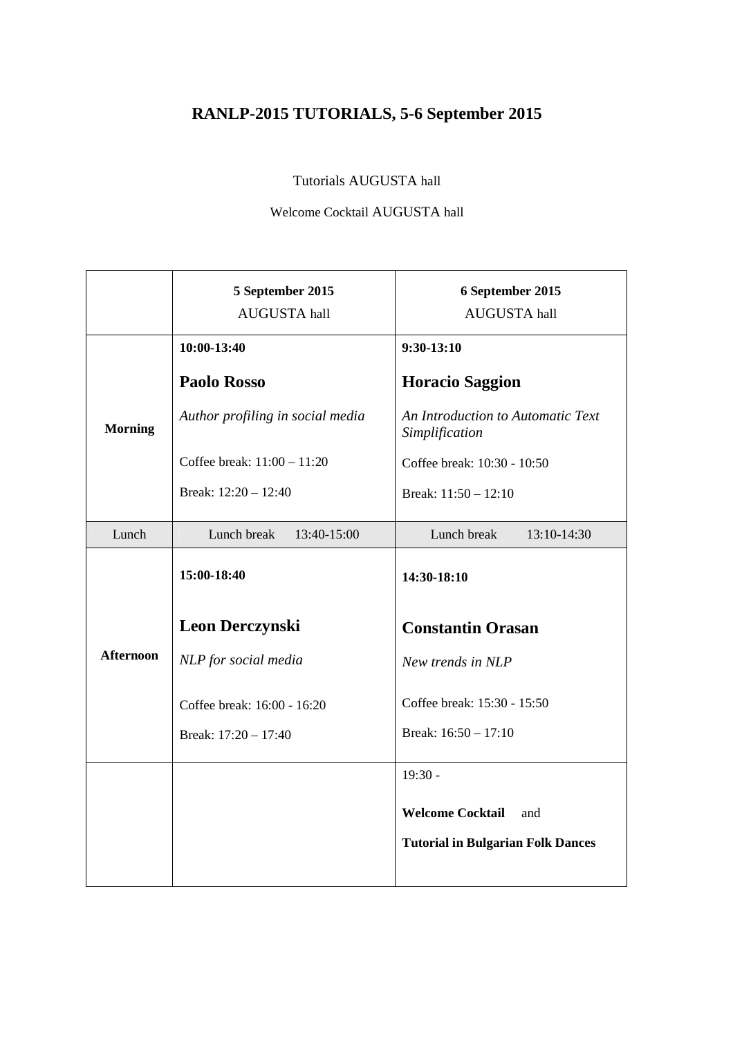# **RANLP-2015 TUTORIALS, 5-6 September 2015**

Tutorials AUGUSTA hall

Welcome Cocktail AUGUSTA hall

|                  | 5 September 2015<br>AUGUSTA hall | 6 September 2015<br>AUGUSTA hall                    |  |
|------------------|----------------------------------|-----------------------------------------------------|--|
|                  | 10:00-13:40                      | $9:30-13:10$                                        |  |
|                  | <b>Paolo Rosso</b>               | <b>Horacio Saggion</b>                              |  |
| <b>Morning</b>   | Author profiling in social media | An Introduction to Automatic Text<br>Simplification |  |
|                  | Coffee break: 11:00 - 11:20      | Coffee break: 10:30 - 10:50                         |  |
|                  | Break: 12:20 - 12:40             | Break: 11:50 - 12:10                                |  |
| Lunch            | Lunch break<br>13:40-15:00       | Lunch break<br>13:10-14:30                          |  |
|                  | 15:00-18:40                      | 14:30-18:10                                         |  |
|                  | <b>Leon Derczynski</b>           | <b>Constantin Orasan</b>                            |  |
| <b>Afternoon</b> | NLP for social media             | New trends in NLP                                   |  |
|                  | Coffee break: 16:00 - 16:20      | Coffee break: 15:30 - 15:50                         |  |
|                  | Break: 17:20 - 17:40             | Break: 16:50 - 17:10                                |  |
|                  |                                  | $19:30 -$                                           |  |
|                  |                                  | <b>Welcome Cocktail</b><br>and                      |  |
|                  |                                  | <b>Tutorial in Bulgarian Folk Dances</b>            |  |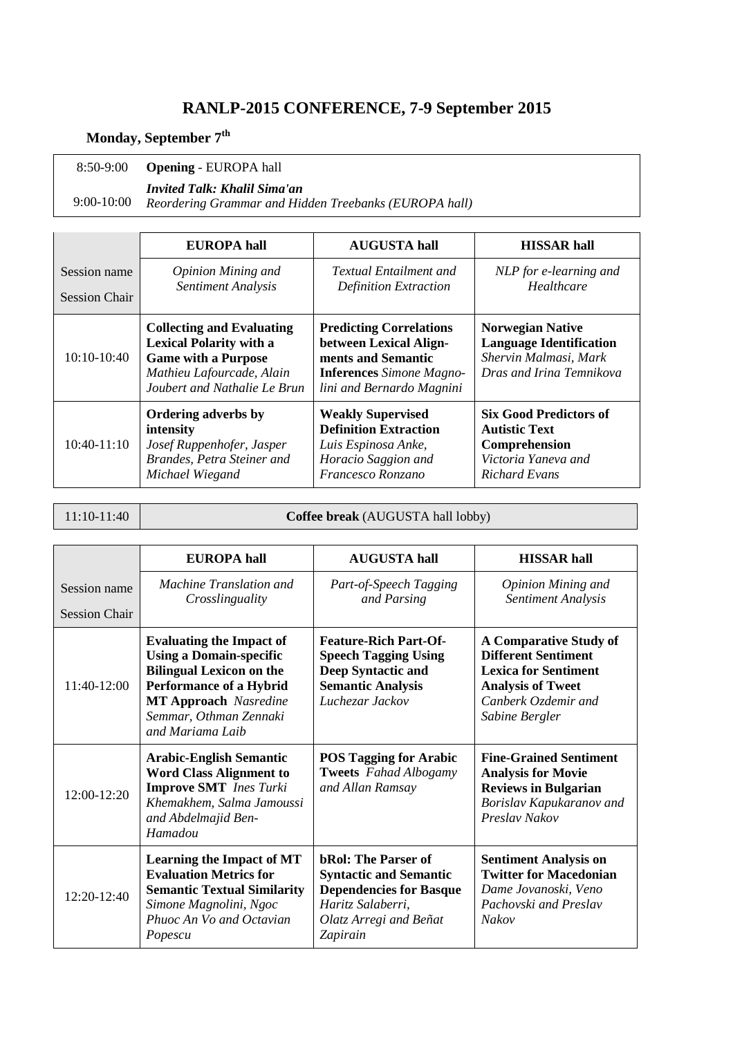## **RANLP-2015 CONFERENCE, 7-9 September 2015**

## **Monday, September 7th**

 8:50-9:00 **Opening** - EUROPA hall

*Invited Talk: Khalil Sima'an* 

 9:00-10:00 *Reordering Grammar and Hidden Treebanks (EUROPA hall)* 

|                      | <b>EUROPA</b> hall                                                                                                                                            | <b>AUGUSTA</b> hall                                                                                                                            | <b>HISSAR</b> hall                                                                                             |
|----------------------|---------------------------------------------------------------------------------------------------------------------------------------------------------------|------------------------------------------------------------------------------------------------------------------------------------------------|----------------------------------------------------------------------------------------------------------------|
| Session name         | <b>Opinion Mining and</b>                                                                                                                                     | <b>Textual Entailment and</b>                                                                                                                  | NLP for e-learning and                                                                                         |
| <b>Session Chair</b> | Sentiment Analysis                                                                                                                                            | <b>Definition Extraction</b>                                                                                                                   | Healthcare                                                                                                     |
| $10:10-10:40$        | <b>Collecting and Evaluating</b><br><b>Lexical Polarity with a</b><br><b>Game with a Purpose</b><br>Mathieu Lafourcade, Alain<br>Joubert and Nathalie Le Brun | <b>Predicting Correlations</b><br>between Lexical Align-<br>ments and Semantic<br><b>Inferences</b> Simone Magno-<br>lini and Bernardo Magnini | <b>Norwegian Native</b><br><b>Language Identification</b><br>Shervin Malmasi, Mark<br>Dras and Irina Temnikova |
| $10:40-11:10$        | Ordering adverbs by                                                                                                                                           | <b>Weakly Supervised</b>                                                                                                                       | <b>Six Good Predictors of</b>                                                                                  |
|                      | intensity                                                                                                                                                     | <b>Definition Extraction</b>                                                                                                                   | <b>Autistic Text</b>                                                                                           |
|                      | Josef Ruppenhofer, Jasper                                                                                                                                     | Luis Espinosa Anke,                                                                                                                            | Comprehension                                                                                                  |
|                      | Brandes, Petra Steiner and                                                                                                                                    | Horacio Saggion and                                                                                                                            | Victoria Yaneva and                                                                                            |
|                      | Michael Wiegand                                                                                                                                               | Francesco Ronzano                                                                                                                              | <b>Richard Evans</b>                                                                                           |

11:10-11:40 **Coffee break** (AUGUSTA hall lobby)

|                                      | <b>EUROPA</b> hall                                                                                                                                                                                                   | <b>AUGUSTA hall</b>                                                                                                                                      | <b>HISSAR hall</b>                                                                                                                                              |
|--------------------------------------|----------------------------------------------------------------------------------------------------------------------------------------------------------------------------------------------------------------------|----------------------------------------------------------------------------------------------------------------------------------------------------------|-----------------------------------------------------------------------------------------------------------------------------------------------------------------|
| Session name<br><b>Session Chair</b> | Machine Translation and<br>Crosslinguality                                                                                                                                                                           | Part-of-Speech Tagging<br>and Parsing                                                                                                                    | <b>Opinion Mining and</b><br>Sentiment Analysis                                                                                                                 |
| 11:40-12:00                          | <b>Evaluating the Impact of</b><br><b>Using a Domain-specific</b><br><b>Bilingual Lexicon on the</b><br><b>Performance of a Hybrid</b><br><b>MT Approach</b> Nasredine<br>Semmar, Othman Zennaki<br>and Mariama Laib | <b>Feature-Rich Part-Of-</b><br><b>Speech Tagging Using</b><br>Deep Syntactic and<br><b>Semantic Analysis</b><br>Luchezar Jackov                         | <b>A Comparative Study of</b><br><b>Different Sentiment</b><br><b>Lexica for Sentiment</b><br><b>Analysis of Tweet</b><br>Canberk Ozdemir and<br>Sabine Bergler |
| 12:00-12:20                          | <b>Arabic-English Semantic</b><br><b>Word Class Alignment to</b><br><b>Improve SMT</b> Ines Turki<br>Khemakhem, Salma Jamoussi<br>and Abdelmajid Ben-<br>Hamadou                                                     | <b>POS Tagging for Arabic</b><br><b>Tweets</b> Fahad Albogamy<br>and Allan Ramsay                                                                        | <b>Fine-Grained Sentiment</b><br><b>Analysis for Movie</b><br><b>Reviews in Bulgarian</b><br>Borislav Kapukaranov and<br>Preslav Nakov                          |
| $12:20-12:40$                        | <b>Learning the Impact of MT</b><br><b>Evaluation Metrics for</b><br><b>Semantic Textual Similarity</b><br>Simone Magnolini, Ngoc<br>Phuoc An Vo and Octavian<br>Popescu                                             | <b>bRol: The Parser of</b><br><b>Syntactic and Semantic</b><br><b>Dependencies for Basque</b><br>Haritz Salaberri,<br>Olatz Arregi and Beñat<br>Zapirain | <b>Sentiment Analysis on</b><br><b>Twitter for Macedonian</b><br>Dame Jovanoski, Veno<br>Pachovski and Preslav<br><b>Nakov</b>                                  |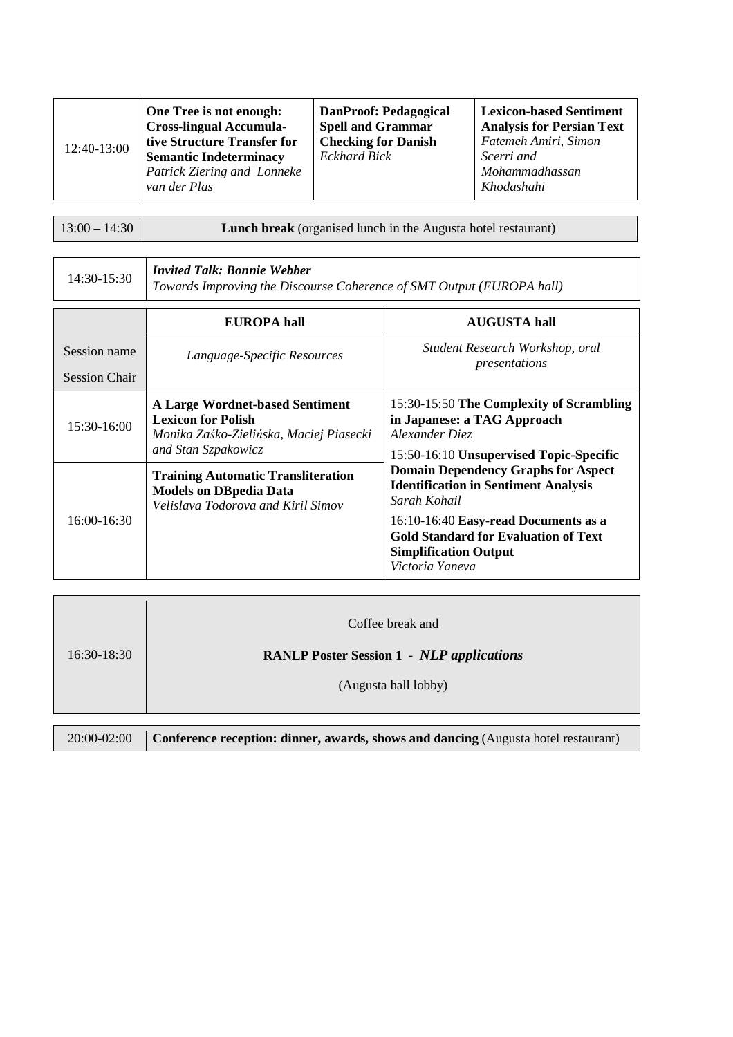| 12:40-13:00<br>van der Plas | One Tree is not enough:<br><b>Cross-lingual Accumula-</b><br>tive Structure Transfer for<br><b>Semantic Indeterminacy</b><br>Patrick Ziering and Lonneke | <b>DanProof: Pedagogical</b><br><b>Spell and Grammar</b><br><b>Checking for Danish</b><br><b>Eckhard Bick</b> | <b>Lexicon-based Sentiment</b><br><b>Analysis for Persian Text</b><br>Fatemeh Amiri, Simon<br>Scerri and<br>Mohammadhassan<br>Khodashahi |
|-----------------------------|----------------------------------------------------------------------------------------------------------------------------------------------------------|---------------------------------------------------------------------------------------------------------------|------------------------------------------------------------------------------------------------------------------------------------------|
|-----------------------------|----------------------------------------------------------------------------------------------------------------------------------------------------------|---------------------------------------------------------------------------------------------------------------|------------------------------------------------------------------------------------------------------------------------------------------|

13:00 – 14:30 **Lunch break** (organised lunch in the Augusta hotel restaurant)

| 14:30-15:30 | <b>Invited Talk: Bonnie Webber</b>                                    |
|-------------|-----------------------------------------------------------------------|
|             | Towards Improving the Discourse Coherence of SMT Output (EUROPA hall) |

|                                      | <b>EUROPA</b> hall                                                                                                                    | <b>AUGUSTA</b> hall                                                                                                                                                                                                                                 |
|--------------------------------------|---------------------------------------------------------------------------------------------------------------------------------------|-----------------------------------------------------------------------------------------------------------------------------------------------------------------------------------------------------------------------------------------------------|
| Session name<br><b>Session Chair</b> | Language-Specific Resources                                                                                                           | Student Research Workshop, oral<br>presentations                                                                                                                                                                                                    |
| $15:30-16:00$                        | <b>A Large Wordnet-based Sentiment</b><br><b>Lexicon for Polish</b><br>Monika Zaśko-Zielińska, Maciej Piasecki<br>and Stan Szpakowicz | 15:30-15:50 The Complexity of Scrambling<br>in Japanese: a TAG Approach<br>Alexander Diez<br>15:50-16:10 Unsupervised Topic-Specific                                                                                                                |
| $16:00-16:30$                        | <b>Training Automatic Transliteration</b><br><b>Models on DBpedia Data</b><br>Velislava Todorova and Kiril Simov                      | <b>Domain Dependency Graphs for Aspect</b><br><b>Identification in Sentiment Analysis</b><br>Sarah Kohail<br>16:10-16:40 Easy-read Documents as a<br><b>Gold Standard for Evaluation of Text</b><br><b>Simplification Output</b><br>Victoria Yaneva |

| $16:30-18:30$ | Coffee break and<br><b>RANLP Poster Session 1 - NLP applications</b><br>(Augusta hall lobby) |
|---------------|----------------------------------------------------------------------------------------------|
| 20:00-02:00   | <b>Conference reception: dinner, awards, shows and dancing (Augusta hotel restaurant)</b>    |

|  | 20:00-02:00 Conference reception: dinner, awards, shows and dancing (Augusta hotel restaurant) |  |  |
|--|------------------------------------------------------------------------------------------------|--|--|
|--|------------------------------------------------------------------------------------------------|--|--|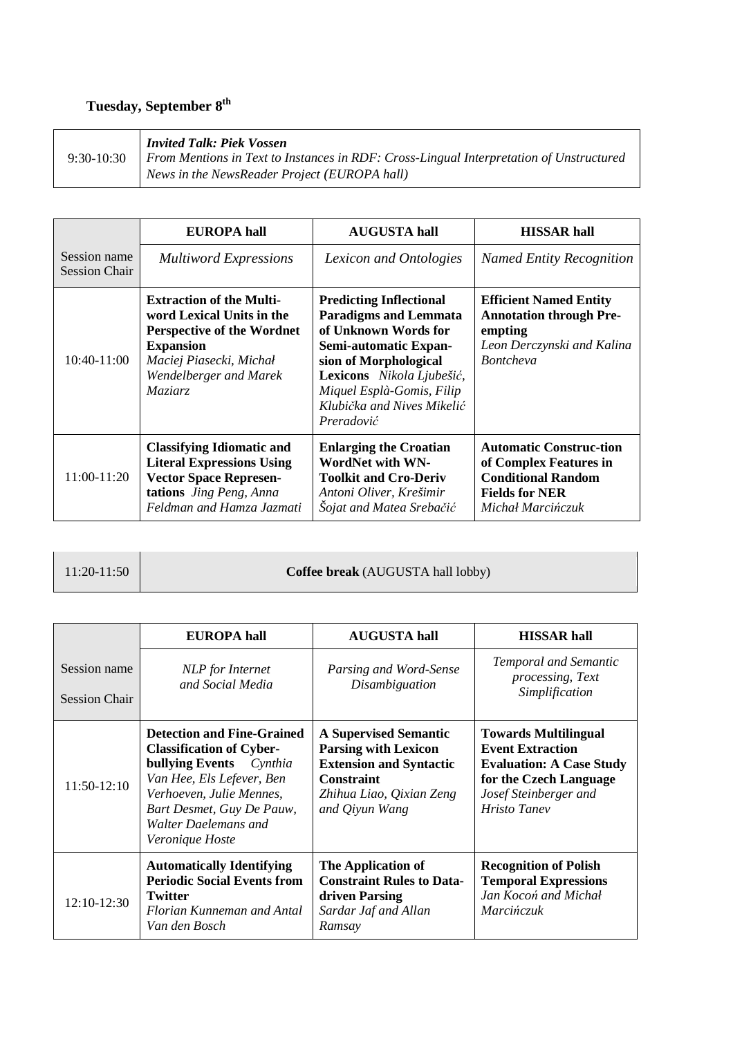# **Tuesday, September 8th**

| $9:30-10:30$ | <b>Invited Talk: Piek Vossen</b><br>From Mentions in Text to Instances in RDF: Cross-Lingual Interpretation of Unstructured<br>News in the NewsReader Project (EUROPA hall) |
|--------------|-----------------------------------------------------------------------------------------------------------------------------------------------------------------------------|
|--------------|-----------------------------------------------------------------------------------------------------------------------------------------------------------------------------|

|                                      | <b>EUROPA</b> hall                                                                                                                                                                           | <b>AUGUSTA hall</b>                                                                                                                                                                                                                            | <b>HISSAR hall</b>                                                                                                                  |
|--------------------------------------|----------------------------------------------------------------------------------------------------------------------------------------------------------------------------------------------|------------------------------------------------------------------------------------------------------------------------------------------------------------------------------------------------------------------------------------------------|-------------------------------------------------------------------------------------------------------------------------------------|
| Session name<br><b>Session Chair</b> | <b>Multiword Expressions</b>                                                                                                                                                                 | Lexicon and Ontologies                                                                                                                                                                                                                         | <b>Named Entity Recognition</b>                                                                                                     |
| $10:40-11:00$                        | <b>Extraction of the Multi-</b><br>word Lexical Units in the<br><b>Perspective of the Wordnet</b><br><b>Expansion</b><br>Maciej Piasecki, Michał<br>Wendelberger and Marek<br><i>Maziarz</i> | <b>Predicting Inflectional</b><br><b>Paradigms and Lemmata</b><br>of Unknown Words for<br>Semi-automatic Expan-<br>sion of Morphological<br>Lexicons Nikola Ljubešić,<br>Miquel Esplà-Gomis, Filip<br>Klubička and Nives Mikelić<br>Preradović | <b>Efficient Named Entity</b><br><b>Annotation through Pre-</b><br>empting<br>Leon Derczynski and Kalina<br><b>Bontcheva</b>        |
| 11:00-11:20                          | <b>Classifying Idiomatic and</b><br><b>Literal Expressions Using</b><br><b>Vector Space Represen-</b><br>tations Jing Peng, Anna<br>Feldman and Hamza Jazmati                                | <b>Enlarging the Croatian</b><br><b>WordNet with WN-</b><br><b>Toolkit and Cro-Deriv</b><br>Antoni Oliver, Krešimir<br>Šojat and Matea Srebačić                                                                                                | <b>Automatic Construc-tion</b><br>of Complex Features in<br><b>Conditional Random</b><br><b>Fields for NER</b><br>Michał Marcińczuk |

11:20-11:50 **Coffee break** (AUGUSTA hall lobby)

|                                      | <b>EUROPA</b> hall                                                                                                                                                                                                                             | <b>AUGUSTA hall</b>                                                                                                                                              | <b>HISSAR hall</b>                                                                                                                                                  |
|--------------------------------------|------------------------------------------------------------------------------------------------------------------------------------------------------------------------------------------------------------------------------------------------|------------------------------------------------------------------------------------------------------------------------------------------------------------------|---------------------------------------------------------------------------------------------------------------------------------------------------------------------|
| Session name<br><b>Session Chair</b> | NLP for Internet<br>and Social Media                                                                                                                                                                                                           | Parsing and Word-Sense<br>Disambiguation                                                                                                                         | Temporal and Semantic<br>processing, Text<br>Simplification                                                                                                         |
| 11:50-12:10                          | <b>Detection and Fine-Grained</b><br><b>Classification of Cyber-</b><br><b>bullying Events</b> <i>Cynthia</i><br>Van Hee, Els Lefever, Ben<br>Verhoeven, Julie Mennes,<br>Bart Desmet, Guy De Pauw,<br>Walter Daelemans and<br>Veronique Hoste | <b>A Supervised Semantic</b><br><b>Parsing with Lexicon</b><br><b>Extension and Syntactic</b><br><b>Constraint</b><br>Zhihua Liao, Qixian Zeng<br>and Qiyun Wang | <b>Towards Multilingual</b><br><b>Event Extraction</b><br><b>Evaluation: A Case Study</b><br>for the Czech Language<br>Josef Steinberger and<br><b>Hristo Tanev</b> |
| 12:10-12:30                          | <b>Automatically Identifying</b><br><b>Periodic Social Events from</b><br><b>Twitter</b><br>Florian Kunneman and Antal<br>Van den Bosch                                                                                                        | The Application of<br><b>Constraint Rules to Data-</b><br>driven Parsing<br>Sardar Jaf and Allan<br>Ramsay                                                       | <b>Recognition of Polish</b><br><b>Temporal Expressions</b><br>Jan Kocoń and Michał<br><i>Marcinczuk</i>                                                            |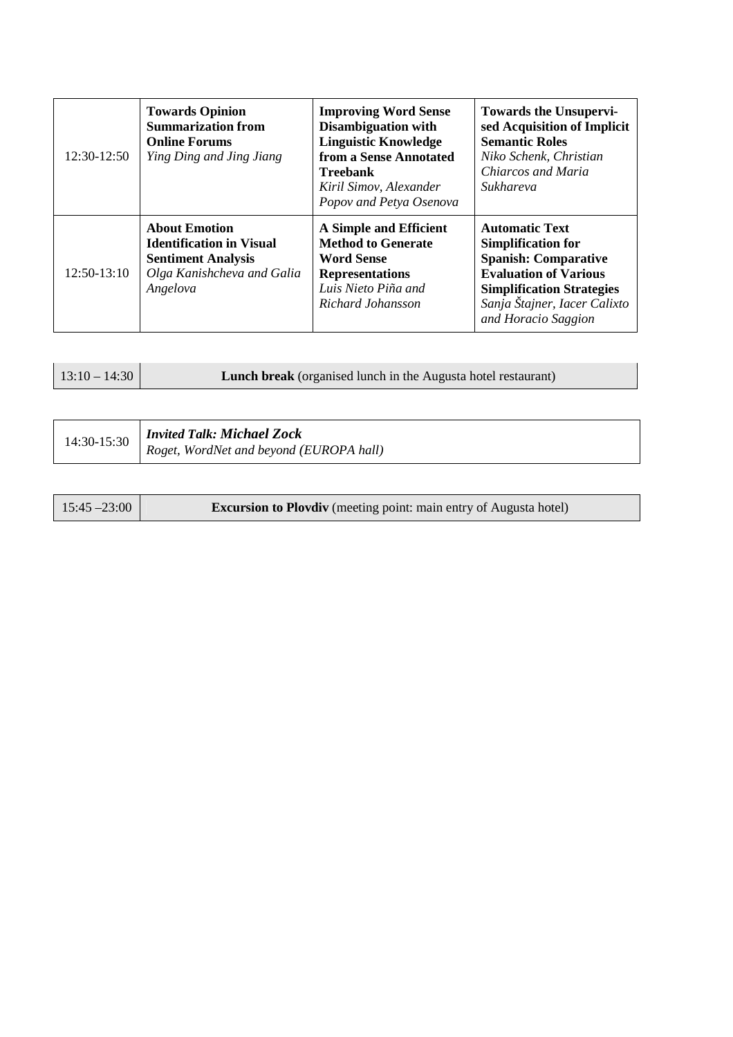| 12:30-12:50   | <b>Towards Opinion</b><br><b>Summarization from</b><br><b>Online Forums</b><br>Ying Ding and Jing Jiang                        | <b>Improving Word Sense</b><br><b>Disambiguation with</b><br><b>Linguistic Knowledge</b><br>from a Sense Annotated<br><b>Treebank</b><br>Kiril Simov, Alexander<br>Popov and Petya Osenova | <b>Towards the Unsupervi-</b><br>sed Acquisition of Implicit<br><b>Semantic Roles</b><br>Niko Schenk, Christian<br>Chiarcos and Maria<br>Sukhareva                                                           |
|---------------|--------------------------------------------------------------------------------------------------------------------------------|--------------------------------------------------------------------------------------------------------------------------------------------------------------------------------------------|--------------------------------------------------------------------------------------------------------------------------------------------------------------------------------------------------------------|
| $12:50-13:10$ | <b>About Emotion</b><br><b>Identification in Visual</b><br><b>Sentiment Analysis</b><br>Olga Kanishcheva and Galia<br>Angelova | A Simple and Efficient<br><b>Method to Generate</b><br><b>Word Sense</b><br><b>Representations</b><br>Luis Nieto Piña and<br>Richard Johansson                                             | <b>Automatic Text</b><br><b>Simplification for</b><br><b>Spanish: Comparative</b><br><b>Evaluation of Various</b><br><b>Simplification Strategies</b><br>Sanja Štajner, Iacer Calixto<br>and Horacio Saggion |

| $13:10 - 14:30$ | <b>Lunch break</b> (organised lunch in the Augusta hotel restaurant) |
|-----------------|----------------------------------------------------------------------|
|-----------------|----------------------------------------------------------------------|

| 14:30-15:30 | <b>Invited Talk: Michael Zock</b>       |
|-------------|-----------------------------------------|
|             | Roget, WordNet and beyond (EUROPA hall) |

| $15:45 - 23:00$ | <b>Excursion to Plovdiv</b> (meeting point: main entry of Augusta hotel) |
|-----------------|--------------------------------------------------------------------------|
|-----------------|--------------------------------------------------------------------------|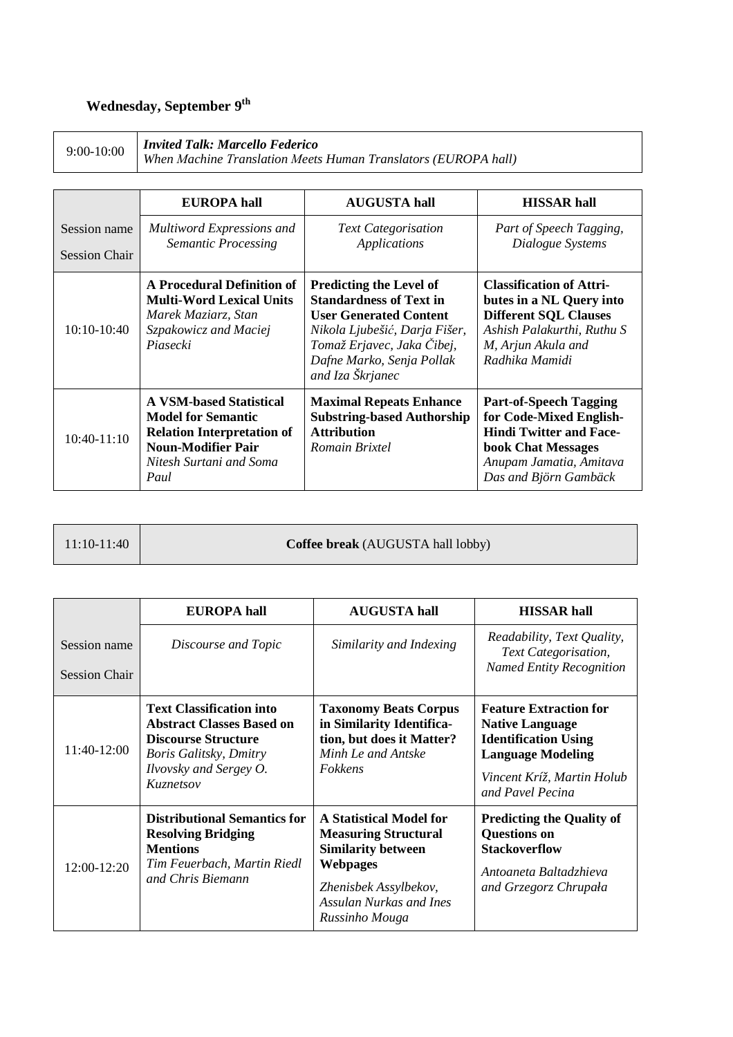# **Wednesday, September 9th**

9:00-10:00 *Invited Talk: Marcello Federico*<br>When Machine Translation Meets Human Translators (EUROPA hall)

|                                      | <b>EUROPA</b> hall                                                                                                                                               | <b>AUGUSTA hall</b>                                                                                                                                                                                               | <b>HISSAR</b> hall                                                                                                                                                          |
|--------------------------------------|------------------------------------------------------------------------------------------------------------------------------------------------------------------|-------------------------------------------------------------------------------------------------------------------------------------------------------------------------------------------------------------------|-----------------------------------------------------------------------------------------------------------------------------------------------------------------------------|
| Session name<br><b>Session Chair</b> | Multiword Expressions and<br><b>Semantic Processing</b>                                                                                                          | <b>Text Categorisation</b><br>Applications                                                                                                                                                                        | Part of Speech Tagging,<br>Dialogue Systems                                                                                                                                 |
| $10:10-10:40$                        | A Procedural Definition of<br><b>Multi-Word Lexical Units</b><br>Marek Maziarz, Stan<br>Szpakowicz and Maciej<br>Piasecki                                        | <b>Predicting the Level of</b><br><b>Standardness of Text in</b><br><b>User Generated Content</b><br>Nikola Ljubešić, Darja Fišer,<br>Tomaž Erjavec, Jaka Čibej,<br>Dafne Marko, Senja Pollak<br>and Iza Škrjanec | <b>Classification of Attri-</b><br>butes in a NL Query into<br><b>Different SQL Clauses</b><br>Ashish Palakurthi, Ruthu S<br>M, Arjun Akula and<br>Radhika Mamidi           |
| $10:40-11:10$                        | <b>A VSM-based Statistical</b><br><b>Model for Semantic</b><br><b>Relation Interpretation of</b><br><b>Noun-Modifier Pair</b><br>Nitesh Surtani and Soma<br>Paul | <b>Maximal Repeats Enhance</b><br><b>Substring-based Authorship</b><br><b>Attribution</b><br>Romain Brixtel                                                                                                       | <b>Part-of-Speech Tagging</b><br>for Code-Mixed English-<br><b>Hindi Twitter and Face-</b><br><b>book Chat Messages</b><br>Anupam Jamatia, Amitava<br>Das and Björn Gambäck |

| $11:10-11:40$ | Coffee break (AUGUSTA hall lobby) |
|---------------|-----------------------------------|
|               |                                   |

|                                      | EUROPA hall                                                                                                                                                               | <b>AUGUSTA hall</b>                                                                                                                                                          | <b>HISSAR</b> hall                                                                                                                                                   |
|--------------------------------------|---------------------------------------------------------------------------------------------------------------------------------------------------------------------------|------------------------------------------------------------------------------------------------------------------------------------------------------------------------------|----------------------------------------------------------------------------------------------------------------------------------------------------------------------|
| Session name<br><b>Session Chair</b> | Discourse and Topic                                                                                                                                                       | Similarity and Indexing                                                                                                                                                      | Readability, Text Quality,<br>Text Categorisation,<br><b>Named Entity Recognition</b>                                                                                |
| $11:40-12:00$                        | <b>Text Classification into</b><br><b>Abstract Classes Based on</b><br><b>Discourse Structure</b><br><b>Boris Galitsky, Dmitry</b><br>Ilvovsky and Sergey O.<br>Kuznetsov | <b>Taxonomy Beats Corpus</b><br>in Similarity Identifica-<br>tion, but does it Matter?<br>Minh Le and Antske<br>Fokkens                                                      | <b>Feature Extraction for</b><br><b>Native Language</b><br><b>Identification Using</b><br><b>Language Modeling</b><br>Vincent Kríž, Martin Holub<br>and Pavel Pecina |
| 12:00-12:20                          | <b>Distributional Semantics for</b><br><b>Resolving Bridging</b><br><b>Mentions</b><br>Tim Feuerbach, Martin Riedl<br>and Chris Biemann                                   | A Statistical Model for<br><b>Measuring Structural</b><br><b>Similarity between</b><br><b>Webpages</b><br>Zhenisbek Assylbekov,<br>Assulan Nurkas and Ines<br>Russinho Mouga | <b>Predicting the Quality of</b><br><b>Questions on</b><br><b>Stackoverflow</b><br>Antoaneta Baltadzhieva<br>and Grzegorz Chrupała                                   |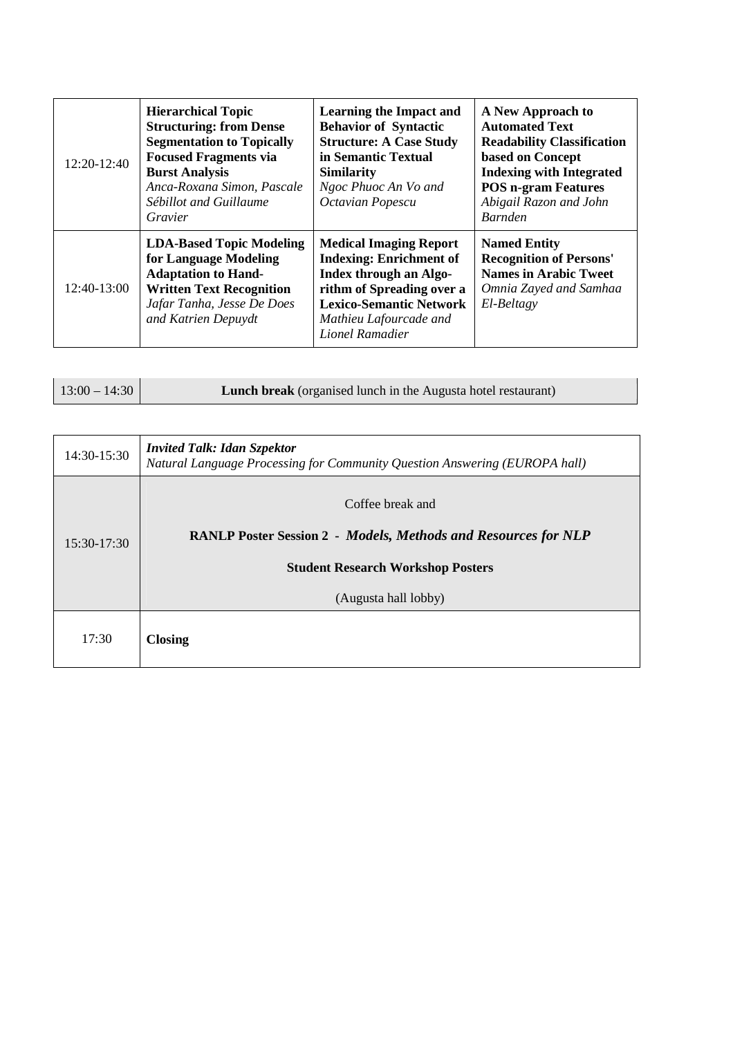| 12:20-12:40 | <b>Hierarchical Topic</b><br><b>Structuring: from Dense</b><br><b>Segmentation to Topically</b><br><b>Focused Fragments via</b><br><b>Burst Analysis</b><br>Anca-Roxana Simon, Pascale<br>Sébillot and Guillaume<br>Gravier | <b>Learning the Impact and</b><br><b>Behavior of Syntactic</b><br><b>Structure: A Case Study</b><br>in Semantic Textual<br><b>Similarity</b><br>Ngoc Phuoc An Vo and<br>Octavian Popescu                     | A New Approach to<br><b>Automated Text</b><br><b>Readability Classification</b><br>based on Concept<br><b>Indexing with Integrated</b><br><b>POS n-gram Features</b><br>Abigail Razon and John<br><b>Barnden</b> |
|-------------|-----------------------------------------------------------------------------------------------------------------------------------------------------------------------------------------------------------------------------|--------------------------------------------------------------------------------------------------------------------------------------------------------------------------------------------------------------|------------------------------------------------------------------------------------------------------------------------------------------------------------------------------------------------------------------|
| 12:40-13:00 | <b>LDA-Based Topic Modeling</b><br>for Language Modeling<br><b>Adaptation to Hand-</b><br><b>Written Text Recognition</b><br>Jafar Tanha, Jesse De Does<br>and Katrien Depuydt                                              | <b>Medical Imaging Report</b><br><b>Indexing: Enrichment of</b><br><b>Index through an Algo-</b><br>rithm of Spreading over a<br><b>Lexico-Semantic Network</b><br>Mathieu Lafourcade and<br>Lionel Ramadier | <b>Named Entity</b><br><b>Recognition of Persons'</b><br><b>Names in Arabic Tweet</b><br>Omnia Zayed and Samhaa<br>El-Beltagy                                                                                    |

| 14:30-15:30   | <b>Invited Talk: Idan Szpektor</b><br>Natural Language Processing for Community Question Answering (EUROPA hall)                      |
|---------------|---------------------------------------------------------------------------------------------------------------------------------------|
| $15:30-17:30$ | Coffee break and<br><b>RANLP Poster Session 2 - Models, Methods and Resources for NLP</b><br><b>Student Research Workshop Posters</b> |
|               | (Augusta hall lobby)                                                                                                                  |
| 17:30         | <b>Closing</b>                                                                                                                        |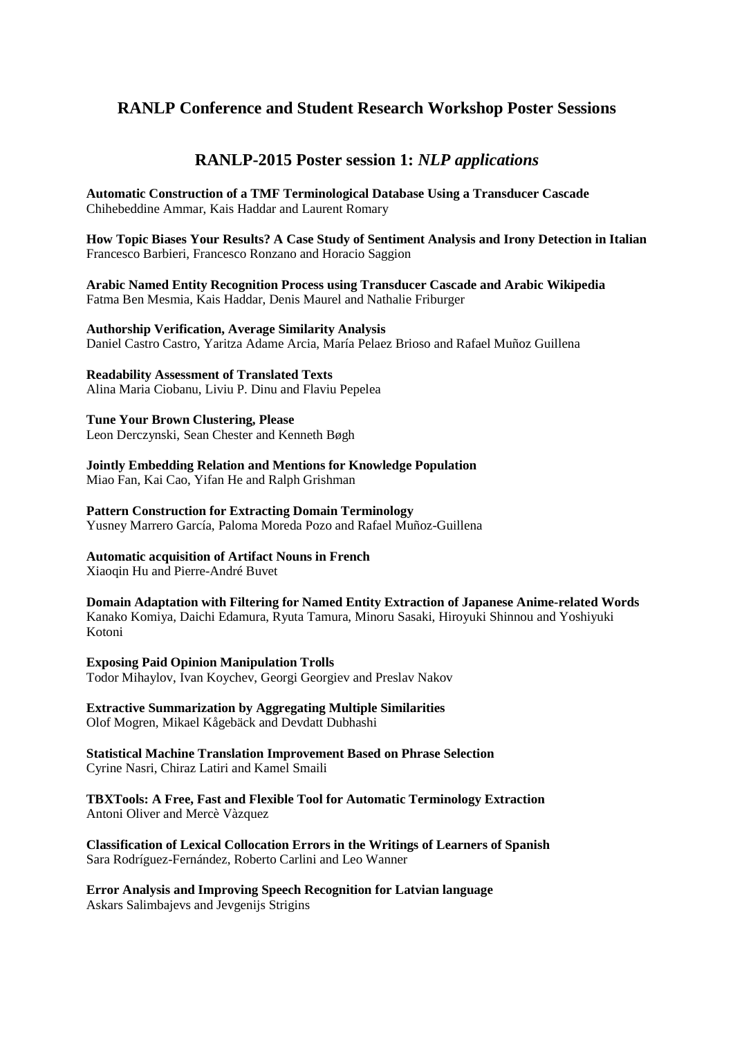### **RANLP Conference and Student Research Workshop Poster Sessions**

### **RANLP-2015 Poster session 1:** *NLP applications*

**Automatic Construction of a TMF Terminological Database Using a Transducer Cascade**  Chihebeddine Ammar, Kais Haddar and Laurent Romary

**How Topic Biases Your Results? A Case Study of Sentiment Analysis and Irony Detection in Italian**  Francesco Barbieri, Francesco Ronzano and Horacio Saggion

**Arabic Named Entity Recognition Process using Transducer Cascade and Arabic Wikipedia**  Fatma Ben Mesmia, Kais Haddar, Denis Maurel and Nathalie Friburger

**Authorship Verification, Average Similarity Analysis** Daniel Castro Castro, Yaritza Adame Arcia, María Pelaez Brioso and Rafael Muñoz Guillena

**Readability Assessment of Translated Texts** 

Alina Maria Ciobanu, Liviu P. Dinu and Flaviu Pepelea

#### **Tune Your Brown Clustering, Please**

Leon Derczynski, Sean Chester and Kenneth Bøgh

**Jointly Embedding Relation and Mentions for Knowledge Population** 

Miao Fan, Kai Cao, Yifan He and Ralph Grishman

**Pattern Construction for Extracting Domain Terminology**  Yusney Marrero García, Paloma Moreda Pozo and Rafael Muñoz-Guillena

#### **Automatic acquisition of Artifact Nouns in French**

Xiaoqin Hu and Pierre-André Buvet

**Domain Adaptation with Filtering for Named Entity Extraction of Japanese Anime-related Words**  Kanako Komiya, Daichi Edamura, Ryuta Tamura, Minoru Sasaki, Hiroyuki Shinnou and Yoshiyuki Kotoni

#### **Exposing Paid Opinion Manipulation Trolls**

Todor Mihaylov, Ivan Koychev, Georgi Georgiev and Preslav Nakov

**Extractive Summarization by Aggregating Multiple Similarities**  Olof Mogren, Mikael Kågebäck and Devdatt Dubhashi

**Statistical Machine Translation Improvement Based on Phrase Selection**  Cyrine Nasri, Chiraz Latiri and Kamel Smaili

**TBXTools: A Free, Fast and Flexible Tool for Automatic Terminology Extraction**  Antoni Oliver and Mercè Vàzquez

**Classification of Lexical Collocation Errors in the Writings of Learners of Spanish**  Sara Rodríguez-Fernández, Roberto Carlini and Leo Wanner

**Error Analysis and Improving Speech Recognition for Latvian language**  Askars Salimbajevs and Jevgenijs Strigins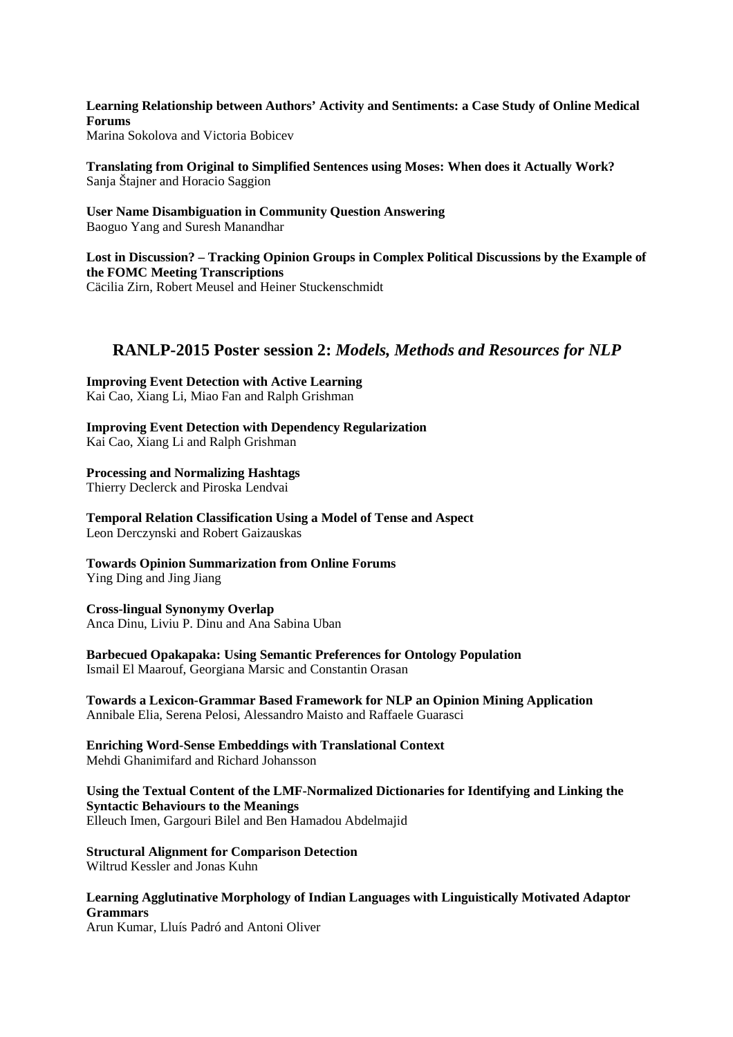**Learning Relationship between Authors' Activity and Sentiments: a Case Study of Online Medical Forums**  Marina Sokolova and Victoria Bobicev

**Translating from Original to Simplified Sentences using Moses: When does it Actually Work?** 

Sanja Štajner and Horacio Saggion

**User Name Disambiguation in Community Question Answering**  Baoguo Yang and Suresh Manandhar

**Lost in Discussion? – Tracking Opinion Groups in Complex Political Discussions by the Example of the FOMC Meeting Transcriptions**  Cäcilia Zirn, Robert Meusel and Heiner Stuckenschmidt

## **RANLP-2015 Poster session 2:** *Models, Methods and Resources for NLP*

**Improving Event Detection with Active Learning**  Kai Cao, Xiang Li, Miao Fan and Ralph Grishman

**Improving Event Detection with Dependency Regularization**  Kai Cao, Xiang Li and Ralph Grishman

### **Processing and Normalizing Hashtags**

Thierry Declerck and Piroska Lendvai

**Temporal Relation Classification Using a Model of Tense and Aspect**  Leon Derczynski and Robert Gaizauskas

#### **Towards Opinion Summarization from Online Forums**

Ying Ding and Jing Jiang

**Cross-lingual Synonymy Overlap**  Anca Dinu, Liviu P. Dinu and Ana Sabina Uban

### **Barbecued Opakapaka: Using Semantic Preferences for Ontology Population**

Ismail El Maarouf, Georgiana Marsic and Constantin Orasan

#### **Towards a Lexicon-Grammar Based Framework for NLP an Opinion Mining Application**  Annibale Elia, Serena Pelosi, Alessandro Maisto and Raffaele Guarasci

#### **Enriching Word-Sense Embeddings with Translational Context**  Mehdi Ghanimifard and Richard Johansson

**Using the Textual Content of the LMF-Normalized Dictionaries for Identifying and Linking the Syntactic Behaviours to the Meanings**  Elleuch Imen, Gargouri Bilel and Ben Hamadou Abdelmajid

#### **Structural Alignment for Comparison Detection**  Wiltrud Kessler and Jonas Kuhn

**Learning Agglutinative Morphology of Indian Languages with Linguistically Motivated Adaptor Grammars** 

Arun Kumar, Lluís Padró and Antoni Oliver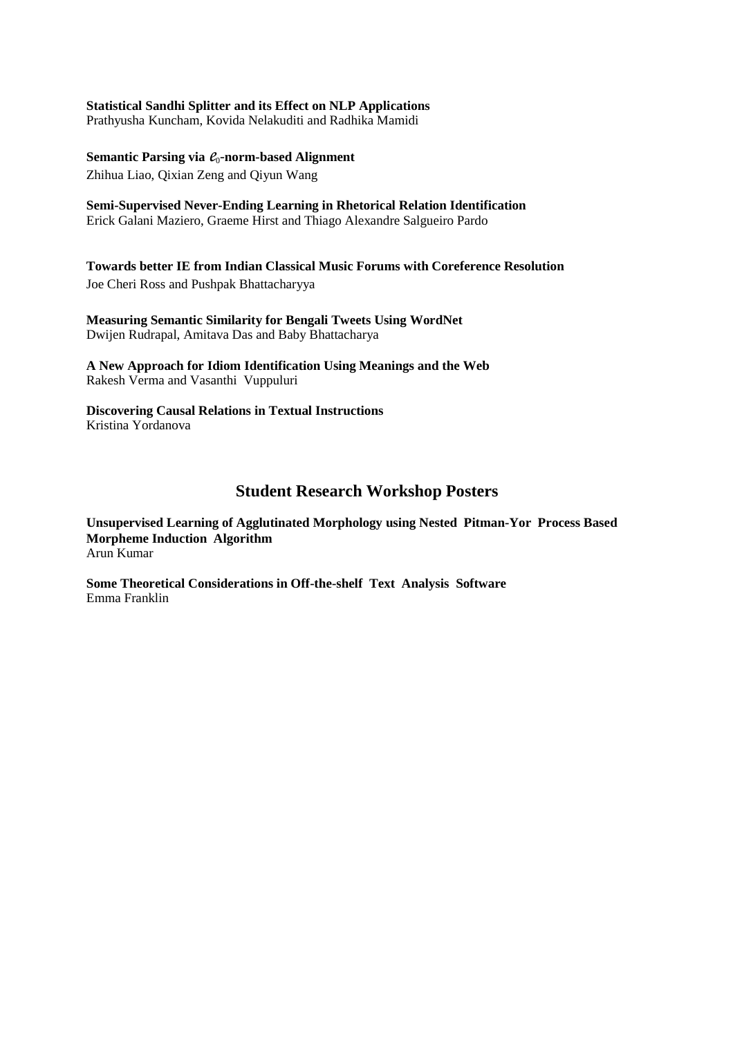#### **Statistical Sandhi Splitter and its Effect on NLP Applications**

Prathyusha Kuncham, Kovida Nelakuditi and Radhika Mamidi

#### Semantic Parsing via  $\ell_0$ -norm-based Alignment

Zhihua Liao, Qixian Zeng and Qiyun Wang

**Semi-Supervised Never-Ending Learning in Rhetorical Relation Identification**  Erick Galani Maziero, Graeme Hirst and Thiago Alexandre Salgueiro Pardo

**Towards better IE from Indian Classical Music Forums with Coreference Resolution**  Joe Cheri Ross and Pushpak Bhattacharyya

**Measuring Semantic Similarity for Bengali Tweets Using WordNet**  Dwijen Rudrapal, Amitava Das and Baby Bhattacharya

**A New Approach for Idiom Identification Using Meanings and the Web**  Rakesh Verma and Vasanthi Vuppuluri

**Discovering Causal Relations in Textual Instructions**  Kristina Yordanova

### **Student Research Workshop Posters**

**Unsupervised Learning of Agglutinated Morphology using Nested Pitman-Yor Process Based Morpheme Induction Algorithm**  Arun Kumar

**Some Theoretical Considerations in Off-the-shelf Text Analysis Software**  Emma Franklin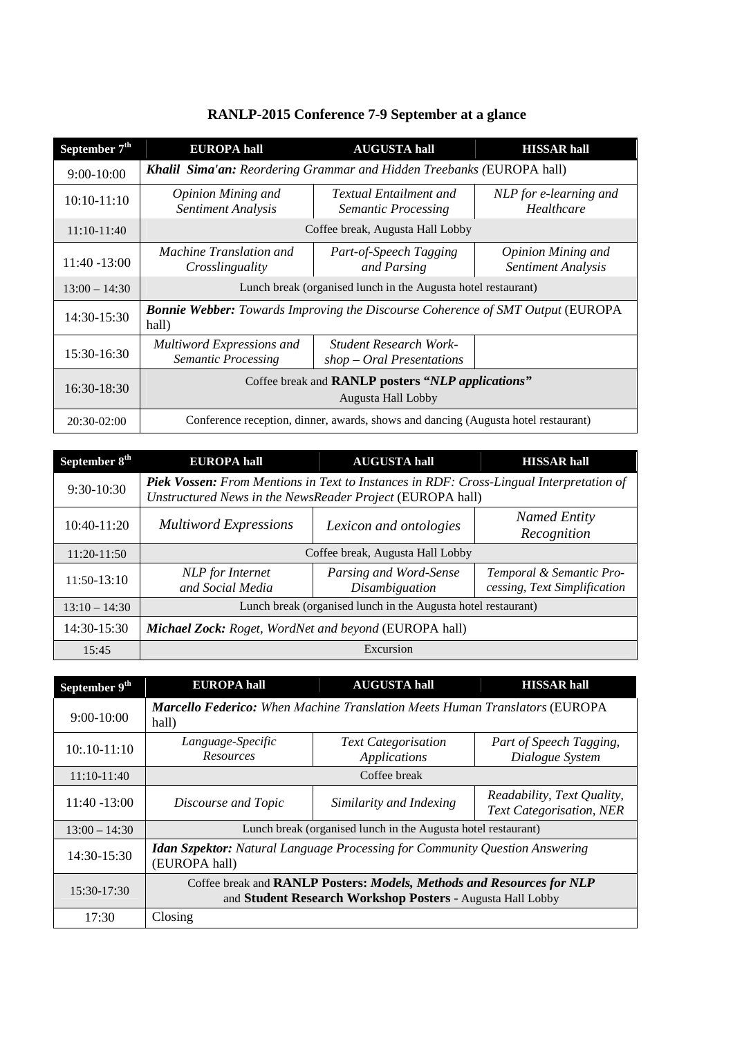| September 7 <sup>th</sup> | <b>EUROPA</b> hall                                                                              | <b>AUGUSTA hall</b>                                          | <b>HISSAR hall</b>                                     |
|---------------------------|-------------------------------------------------------------------------------------------------|--------------------------------------------------------------|--------------------------------------------------------|
| $9:00-10:00$              | Khalil Sima'an: Reordering Grammar and Hidden Treebanks (EUROPA hall)                           |                                                              |                                                        |
| $10:10-11:10$             | Opinion Mining and<br>Sentiment Analysis                                                        | <b>Textual Entailment and</b><br><b>Semantic Processing</b>  | NLP for e-learning and<br>Healthcare                   |
| $11:10-11:40$             | Coffee break, Augusta Hall Lobby                                                                |                                                              |                                                        |
| 11:40 -13:00              | <i>Machine Translation and</i><br>Crosslinguality                                               | Part-of-Speech Tagging<br>and Parsing                        | <b>Opinion Mining and</b><br><b>Sentiment Analysis</b> |
| $13:00 - 14:30$           | Lunch break (organised lunch in the Augusta hotel restaurant)                                   |                                                              |                                                        |
| 14:30-15:30               | <b>Bonnie Webber:</b> Towards Improving the Discourse Coherence of SMT Output (EUROPA)<br>hall) |                                                              |                                                        |
| $15:30-16:30$             | Multiword Expressions and<br>Semantic Processing                                                | <b>Student Research Work-</b><br>$shop - Oral$ Presentations |                                                        |
| 16:30-18:30               | Coffee break and RANLP posters "NLP applications"<br>Augusta Hall Lobby                         |                                                              |                                                        |
| 20:30-02:00               | Conference reception, dinner, awards, shows and dancing (Augusta hotel restaurant)              |                                                              |                                                        |

## **RANLP-2015 Conference 7-9 September at a glance**

| September 8 <sup>th</sup> | <b>EUROPA</b> hall                                                                                                                                          | <b>AUGUSTA hall</b>                      | <b>HISSAR hall</b>                                       |
|---------------------------|-------------------------------------------------------------------------------------------------------------------------------------------------------------|------------------------------------------|----------------------------------------------------------|
| 9:30-10:30                | <b>Piek Vossen:</b> From Mentions in Text to Instances in RDF: Cross-Lingual Interpretation of<br>Unstructured News in the NewsReader Project (EUROPA hall) |                                          |                                                          |
| 10:40-11:20               | <b>Multiword Expressions</b>                                                                                                                                | Lexicon and ontologies                   | <b>Named Entity</b><br>Recognition                       |
| 11:20-11:50               | Coffee break, Augusta Hall Lobby                                                                                                                            |                                          |                                                          |
| $11:50-13:10$             | NLP for Internet<br>and Social Media                                                                                                                        | Parsing and Word-Sense<br>Disambiguation | Temporal & Semantic Pro-<br>cessing, Text Simplification |
| $13:10 - 14:30$           | Lunch break (organised lunch in the Augusta hotel restaurant)                                                                                               |                                          |                                                          |
| 14:30-15:30               | Michael Zock: Roget, WordNet and beyond (EUROPA hall)                                                                                                       |                                          |                                                          |
| 15:45                     | Excursion                                                                                                                                                   |                                          |                                                          |

| September 9 <sup>th</sup> | <b>EUROPA</b> hall                                                                                                                         | <b>AUGUSTA hall</b>                        | <b>HISSAR hall</b>                                            |
|---------------------------|--------------------------------------------------------------------------------------------------------------------------------------------|--------------------------------------------|---------------------------------------------------------------|
| $9:00-10:00$              | <b>Marcello Federico:</b> When Machine Translation Meets Human Translators (EUROPA<br>hall)                                                |                                            |                                                               |
| $10:10-11:10$             | Language-Specific<br>Resources                                                                                                             | <b>Text Categorisation</b><br>Applications | Part of Speech Tagging,<br>Dialogue System                    |
| 11:10-11:40               | Coffee break                                                                                                                               |                                            |                                                               |
| $11:40 - 13:00$           | Discourse and Topic                                                                                                                        | Similarity and Indexing                    | Readability, Text Quality,<br><b>Text Categorisation, NER</b> |
| $13:00 - 14:30$           | Lunch break (organised lunch in the Augusta hotel restaurant)                                                                              |                                            |                                                               |
| 14:30-15:30               | <b>Idan Szpektor:</b> Natural Language Processing for Community Question Answering<br>(EUROPA hall)                                        |                                            |                                                               |
| 15:30-17:30               | Coffee break and <b>RANLP Posters: Models, Methods and Resources for NLP</b><br>and Student Research Workshop Posters - Augusta Hall Lobby |                                            |                                                               |
| 17:30                     | Closing                                                                                                                                    |                                            |                                                               |